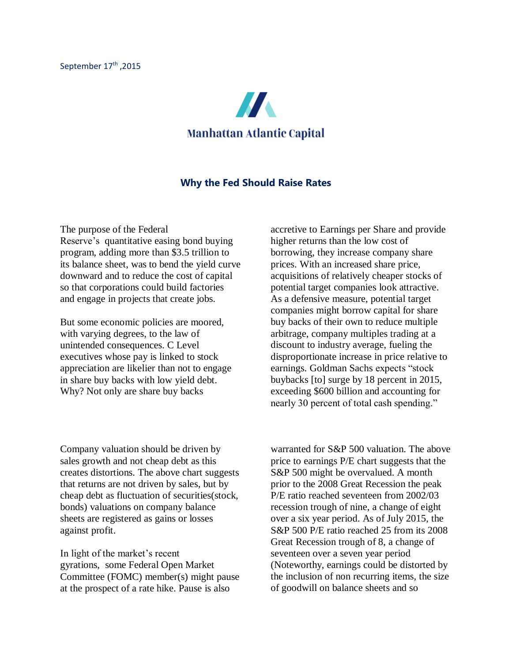

## **Why the Fed Should Raise Rates**

The purpose of the Federal Reserve's quantitative easing bond buying program, adding more than \$3.5 trillion to its balance sheet, was to bend the yield curve downward and to reduce the cost of capital so that corporations could build factories and engage in projects that create jobs.

But some economic policies are moored, with varying degrees, to the law of unintended consequences. C Level executives whose pay is linked to stock appreciation are likelier than not to engage in share buy backs with low yield debt. Why? Not only are share buy backs

accretive to Earnings per Share and provide higher returns than the low cost of borrowing, they increase company share prices. With an increased share price, acquisitions of relatively cheaper stocks of potential target companies look attractive. As a defensive measure, potential target companies might borrow capital for share buy backs of their own to reduce multiple arbitrage, company multiples trading at a discount to industry average, fueling the disproportionate increase in price relative to earnings. Goldman Sachs expects "stock buybacks [to] surge by 18 percent in 2015, exceeding \$600 billion and accounting for nearly 30 percent of total cash spending."

Company valuation should be driven by sales growth and not cheap debt as this creates distortions. The above chart suggests that returns are not driven by sales, but by cheap debt as fluctuation of securities(stock, bonds) valuations on company balance sheets are registered as gains or losses against profit.

In light of the market's recent gyrations, some Federal Open Market Committee (FOMC) member(s) might pause at the prospect of a rate hike. Pause is also

warranted for S&P 500 valuation. The above price to earnings P/E chart suggests that the S&P 500 might be overvalued. A month prior to the 2008 Great Recession the peak P/E ratio reached seventeen from 2002/03 recession trough of nine, a change of eight over a six year period. As of July 2015, the S&P 500 P/E ratio reached 25 from its 2008 Great Recession trough of 8, a change of seventeen over a seven year period (Noteworthy, earnings could be distorted by the inclusion of non recurring items, the size of goodwill on balance sheets and so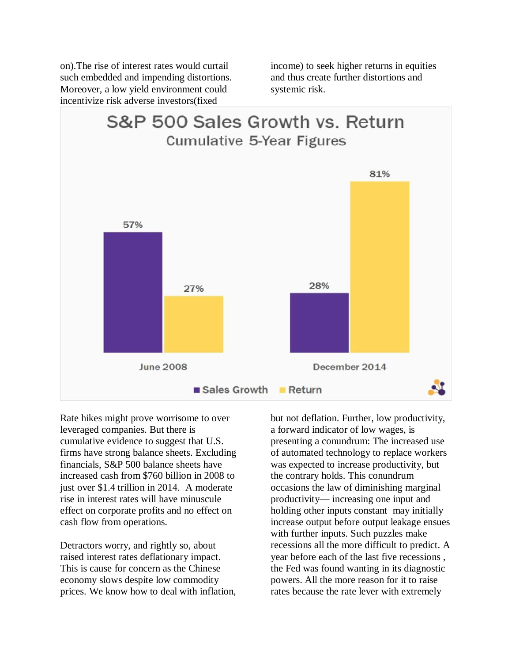on).The rise of interest rates would curtail such embedded and impending distortions. Moreover, a low yield environment could incentivize risk adverse investors(fixed

income) to seek higher returns in equities and thus create further distortions and systemic risk.



Rate hikes might prove worrisome to over leveraged companies. But there is cumulative evidence to suggest that U.S. firms have strong balance sheets. Excluding financials, S&P 500 balance sheets have increased cash from \$760 billion in 2008 to just over \$1.4 trillion in 2014. A moderate rise in interest rates will have minuscule effect on corporate profits and no effect on cash flow from operations.

Detractors worry, and rightly so, about raised interest rates deflationary impact. This is cause for concern as the Chinese economy slows despite low commodity prices. We know how to deal with inflation,

but not deflation. Further, low productivity, a forward indicator of low wages, is presenting a conundrum: The increased use of automated technology to replace workers was expected to increase productivity, but the contrary holds. This conundrum occasions the law of diminishing marginal productivity— increasing one input and holding other inputs constant may initially increase output before output leakage ensues with further inputs. Such puzzles make recessions all the more difficult to predict. A year before each of the last five recessions , the Fed was found wanting in its diagnostic powers. All the more reason for it to raise rates because the rate lever with extremely